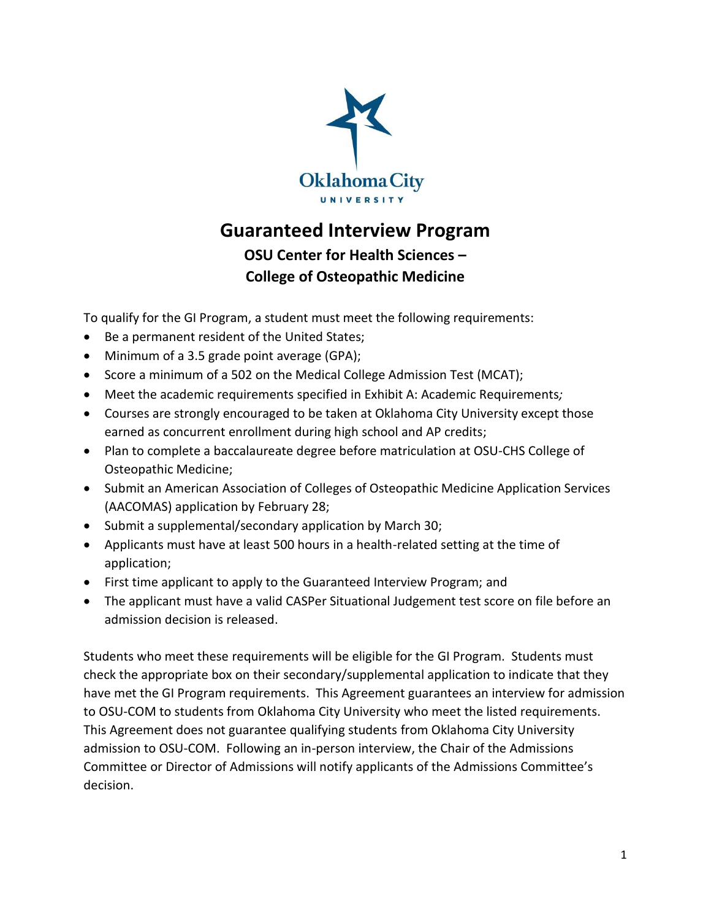

## **Guaranteed Interview Program**

## **OSU Center for Health Sciences – College of Osteopathic Medicine**

To qualify for the GI Program, a student must meet the following requirements:

- Be a permanent resident of the United States;
- Minimum of a 3.5 grade point average (GPA);
- Score a minimum of a 502 on the Medical College Admission Test (MCAT);
- Meet the academic requirements specified in Exhibit A: Academic Requirements*;*
- Courses are strongly encouraged to be taken at Oklahoma City University except those earned as concurrent enrollment during high school and AP credits;
- Plan to complete a baccalaureate degree before matriculation at OSU-CHS College of Osteopathic Medicine;
- Submit an American Association of Colleges of Osteopathic Medicine Application Services (AACOMAS) application by February 28;
- Submit a supplemental/secondary application by March 30;
- Applicants must have at least 500 hours in a health-related setting at the time of application;
- First time applicant to apply to the Guaranteed Interview Program; and
- The applicant must have a valid CASPer Situational Judgement test score on file before an admission decision is released.

Students who meet these requirements will be eligible for the GI Program. Students must check the appropriate box on their secondary/supplemental application to indicate that they have met the GI Program requirements. This Agreement guarantees an interview for admission to OSU-COM to students from Oklahoma City University who meet the listed requirements. This Agreement does not guarantee qualifying students from Oklahoma City University admission to OSU-COM. Following an in-person interview, the Chair of the Admissions Committee or Director of Admissions will notify applicants of the Admissions Committee's decision.